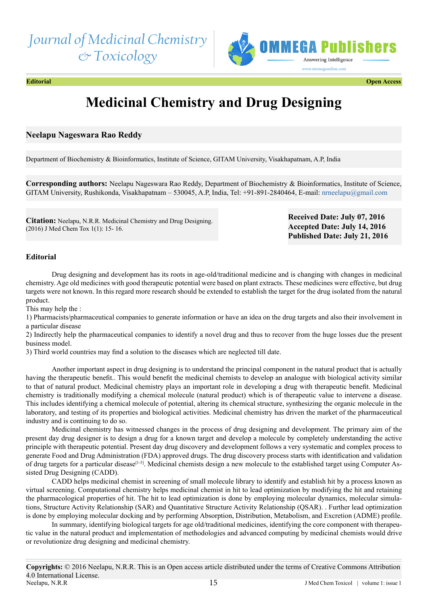## *Journal of Medicinal Chemistry & Toxicology*



**Editorial Open Access**

# **Medicinal Chemistry and Drug Designing**

### **Neelapu Nageswara Rao Reddy**

Department of Biochemistry & Bioinformatics, Institute of Science, GITAM University, Visakhapatnam, A.P, India

**Corresponding authors:** Neelapu Nageswara Rao Reddy, Department of Biochemistry & Bioinformatics, Institute of Science, GITAM University, Rushikonda, Visakhapatnam – 530045, A.P, India, Tel: +91-891-2840464, E-mail: [nrneelapu@gmail.com](mailto:nrneelapu@gmail.com)

**Citation:** Neelapu, N.R.R. Medicinal Chemistry and Drug Designing. (2016) J Med Chem Tox 1(1): 15- 16.

**Received Date: July 07, 2016 Accepted Date: July 14, 2016 Published Date: July 21, 2016**

### **Editorial**

Drug designing and development has its roots in age-old/traditional medicine and is changing with changes in medicinal chemistry. Age old medicines with good therapeutic potential were based on plant extracts. These medicines were effective, but drug targets were not known. In this regard more research should be extended to establish the target for the drug isolated from the natural product.

This may help the :

1) Pharmacists/pharmaceutical companies to generate information or have an idea on the drug targets and also their involvement in a particular disease

2) Indirectly help the pharmaceutical companies to identify a novel drug and thus to recover from the huge losses due the present business model.

3) Third world countries may find a solution to the diseases which are neglected till date.

Another important aspect in drug designing is to understand the principal component in the natural product that is actually having the therapeutic benefit.. This would benefit the medicinal chemists to develop an analogue with biological activity similar to that of natural product. Medicinal chemistry plays an important role in developing a drug with therapeutic benefit. Medicinal chemistry is traditionally modifying a chemical molecule (natural product) which is of therapeutic value to intervene a disease. This includes identifying a chemical molecule of potential, altering its chemical structure, synthesizing the organic molecule in the laboratory, and testing of its properties and biological activities. Medicinal chemistry has driven the market of the pharmaceutical industry and is continuing to do so.

Medicinal chemistry has witnessed changes in the process of drug designing and development. The primary aim of the present day drug designer is to design a drug for a known target and develop a molecule by completely understanding the active principle with therapeutic potential. Present day drug discovery and development follows a very systematic and complex process to generate Food and Drug Administration (FDA) approved drugs. The drug discovery process starts with identification and validation of drug targets for a particular disease<sup>[1-5]</sup>. Medicinal chemists design a new molecule to the established target using Computer Assisted Drug Designing (CADD).

CADD helps medicinal chemist in screening of small molecule library to identify and establish hit by a process known as virtual screening. Computational chemistry helps medicinal chemist in hit to lead optimization by modifying the hit and retaining the pharmacological properties of hit. The hit to lead optimization is done by employing molecular dynamics, molecular simulations, Structure Activity Relationship (SAR) and Quantitative Structure Activity Relationship (QSAR). . Further lead optimization is done by employing molecular docking and by performing Absorption, Distribution, Metabolism, and Excretion (ADME) profile.

In summary, identifying biological targets for age old/traditional medicines, identifying the core component with therapeutic value in the natural product and implementation of methodologies and advanced computing by medicinal chemists would drive or revolutionize drug designing and medicinal chemistry.